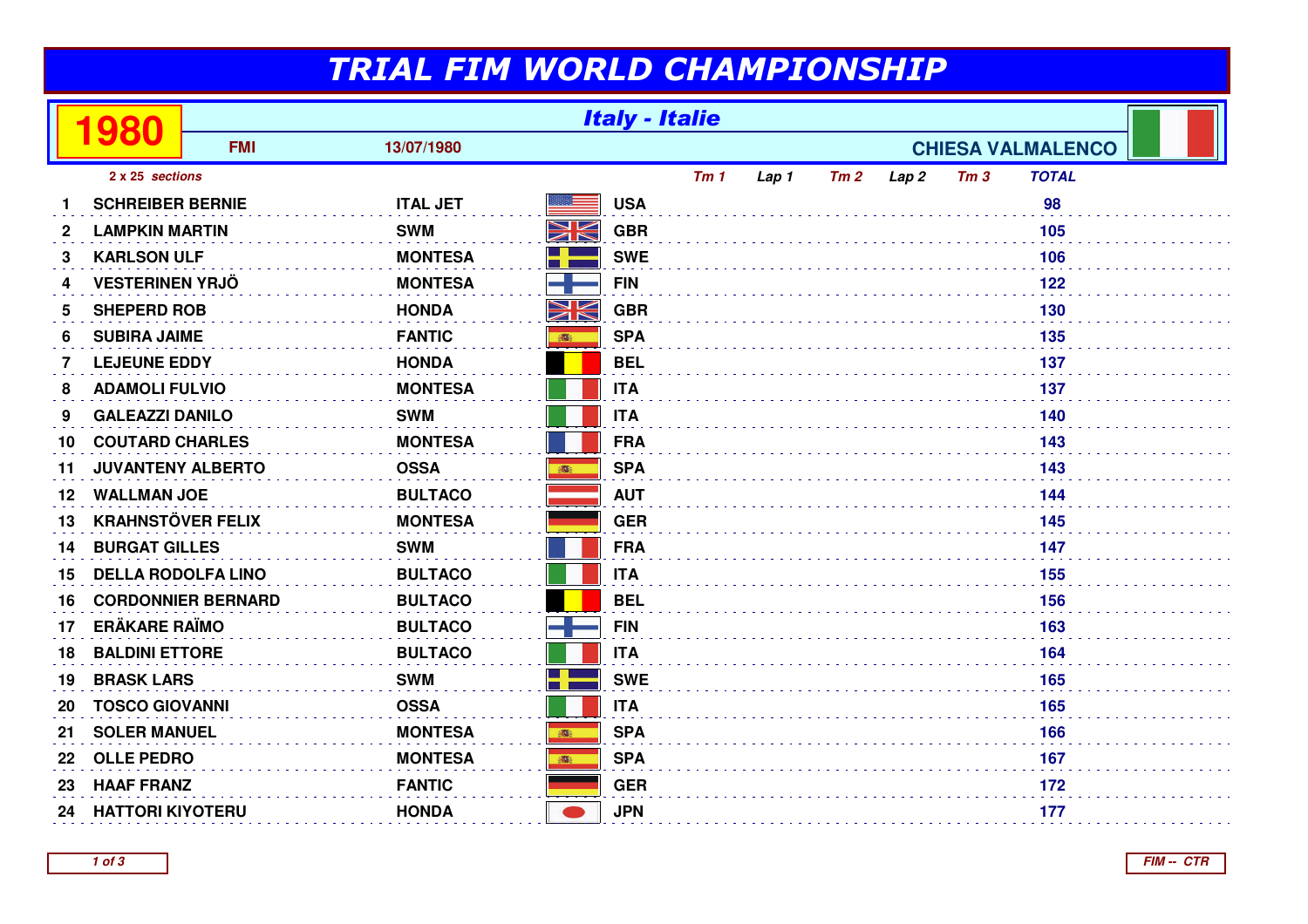## TRIAL FIM WORLD CHAMPIONSHIP

|              | 980                       | <b>Italy - Italie</b> |                 |    |            |     |                          |     |                  |                 |              |  |
|--------------|---------------------------|-----------------------|-----------------|----|------------|-----|--------------------------|-----|------------------|-----------------|--------------|--|
|              |                           | <b>FMI</b>            | 13/07/1980      |    |            |     | <b>CHIESA VALMALENCO</b> |     |                  |                 |              |  |
|              | 2 x 25 sections           |                       |                 |    |            | Tm1 | Lap 1                    | Tm2 | Lap <sub>2</sub> | Tm <sub>3</sub> | <b>TOTAL</b> |  |
|              | <b>SCHREIBER BERNIE</b>   |                       | <b>ITAL JET</b> |    | <b>USA</b> |     |                          |     |                  |                 | 98           |  |
| $\mathbf{2}$ | <b>LAMPKIN MARTIN</b>     |                       | <b>SWM</b>      | NK | <b>GBR</b> |     |                          |     |                  |                 | 105          |  |
| 3            | <b>KARLSON ULF</b>        |                       | <b>MONTESA</b>  | ٢ř | <b>SWE</b> |     |                          |     |                  |                 | 106          |  |
| 4            | <b>VESTERINEN YRJÖ</b>    |                       | <b>MONTESA</b>  |    | <b>FIN</b> |     |                          |     |                  |                 | 122          |  |
| 5            | <b>SHEPERD ROB</b>        |                       | <b>HONDA</b>    | NK | <b>GBR</b> |     |                          |     |                  |                 | 130          |  |
| 6            | <b>SUBIRA JAIME</b>       |                       | <b>FANTIC</b>   | 事  | <b>SPA</b> |     |                          |     |                  |                 | 135          |  |
| 7            | <b>LEJEUNE EDDY</b>       |                       | <b>HONDA</b>    |    | <b>BEL</b> |     |                          |     |                  |                 | 137          |  |
| 8            | <b>ADAMOLI FULVIO</b>     |                       | <b>MONTESA</b>  |    | <b>ITA</b> |     |                          |     |                  |                 | 137          |  |
| 9            | <b>GALEAZZI DANILO</b>    |                       | <b>SWM</b>      |    | <b>ITA</b> |     |                          |     |                  |                 | 140          |  |
| 10           | <b>COUTARD CHARLES</b>    |                       | <b>MONTESA</b>  |    | <b>FRA</b> |     |                          |     |                  |                 | 143          |  |
| 11           | <b>JUVANTENY ALBERTO</b>  |                       | <b>OSSA</b>     | 1  | <b>SPA</b> |     |                          |     |                  |                 | 143          |  |
| 12           | <b>WALLMAN JOE</b>        |                       | <b>BULTACO</b>  |    | <b>AUT</b> |     |                          |     |                  |                 | 144          |  |
| 13           | <b>KRAHNSTÖVER FELIX</b>  |                       | <b>MONTESA</b>  |    | <b>GER</b> |     |                          |     |                  |                 | 145          |  |
| 14           | <b>BURGAT GILLES</b>      |                       | <b>SWM</b>      |    | <b>FRA</b> |     |                          |     |                  |                 | 147          |  |
| 15           | <b>DELLA RODOLFA LINO</b> |                       | <b>BULTACO</b>  |    | <b>ITA</b> |     |                          |     |                  |                 | 155          |  |
| 16           | <b>CORDONNIER BERNARD</b> |                       | <b>BULTACO</b>  |    | <b>BEL</b> |     |                          |     |                  |                 | 156          |  |
| 17           | <b>ERÄKARE RAÏMO</b>      |                       | <b>BULTACO</b>  |    | <b>FIN</b> |     |                          |     |                  |                 | 163          |  |
| 18           | <b>BALDINI ETTORE</b>     |                       | <b>BULTACO</b>  |    | <b>ITA</b> |     |                          |     |                  |                 | 164          |  |
| 19           | <b>BRASK LARS</b>         |                       | <b>SWM</b>      | H  | <b>SWE</b> |     |                          |     |                  |                 | 165          |  |
| 20           | <b>TOSCO GIOVANNI</b>     |                       | <b>OSSA</b>     |    | <b>ITA</b> |     |                          |     |                  |                 | 165          |  |
| 21           | <b>SOLER MANUEL</b>       |                       | <b>MONTESA</b>  | 高  | <b>SPA</b> |     |                          |     |                  |                 | 166          |  |
| 22           | <b>OLLE PEDRO</b>         |                       | <b>MONTESA</b>  | 高  | <b>SPA</b> |     |                          |     |                  |                 | 167          |  |
| 23           | <b>HAAF FRANZ</b>         |                       | <b>FANTIC</b>   |    | <b>GER</b> |     |                          |     |                  |                 | 172          |  |
| 24           | <b>HATTORI KIYOTERU</b>   |                       | <b>HONDA</b>    |    | <b>JPN</b> |     |                          |     |                  |                 | 177          |  |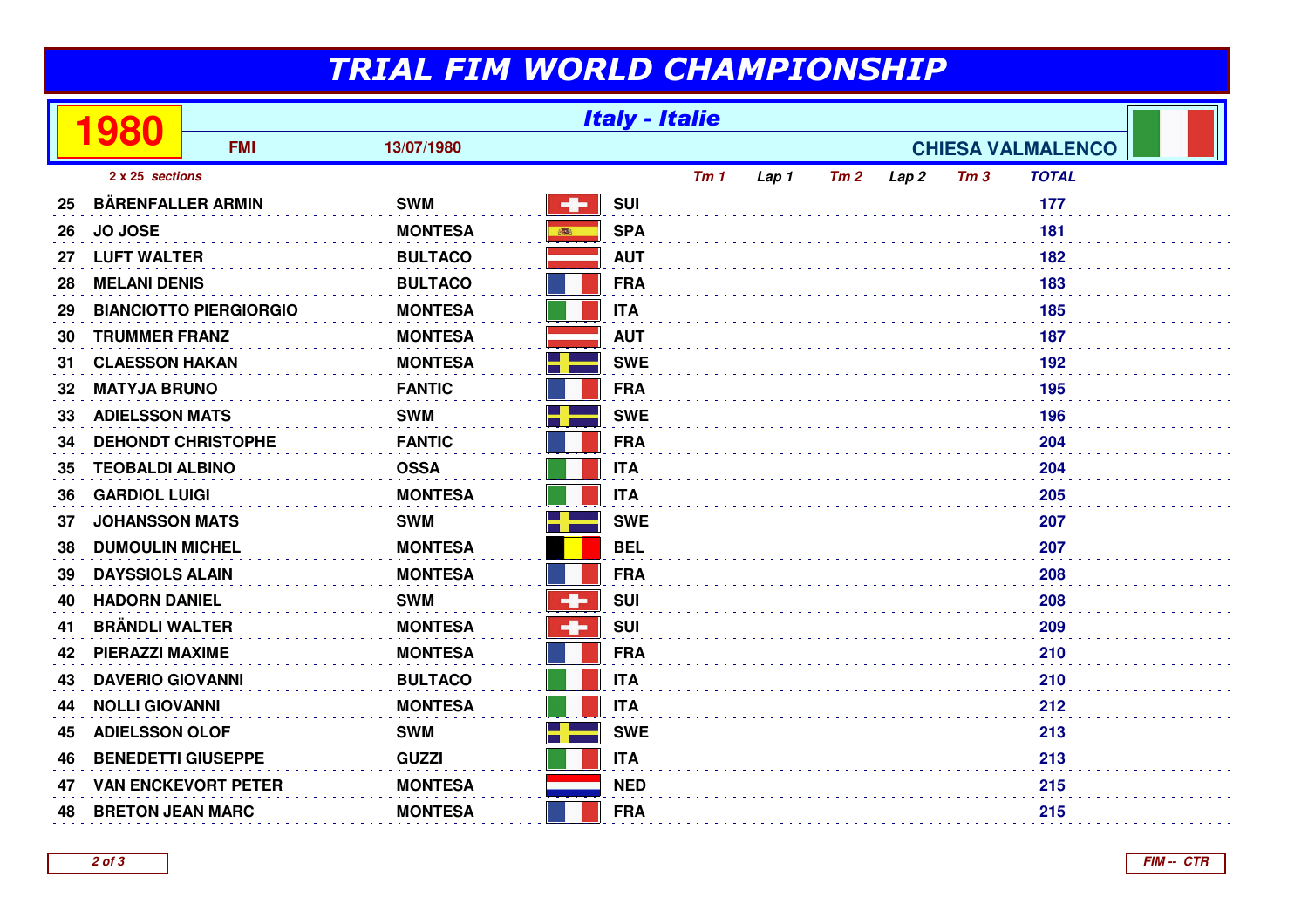## TRIAL FIM WORLD CHAMPIONSHIP

|                 | 980                           | <b>Italy - Italie</b> |                |                          |            |     |       |     |                  |                 |              |  |
|-----------------|-------------------------------|-----------------------|----------------|--------------------------|------------|-----|-------|-----|------------------|-----------------|--------------|--|
|                 |                               | <b>FMI</b>            | 13/07/1980     | <b>CHIESA VALMALENCO</b> |            |     |       |     |                  |                 |              |  |
| 2 x 25 sections |                               |                       |                |                          |            | Tm1 | Lap 1 | Tm2 | Lap <sub>2</sub> | Tm <sub>3</sub> | <b>TOTAL</b> |  |
| 25              | <b>BÄRENFALLER ARMIN</b>      |                       | <b>SWM</b>     | $\mathbf{q}_\mathrm{f}$  | <b>SUI</b> |     |       |     |                  |                 | 177          |  |
| 26              | <b>JO JOSE</b>                |                       | <b>MONTESA</b> | 高                        | <b>SPA</b> |     |       |     |                  |                 | 181          |  |
| 27              | <b>LUFT WALTER</b>            |                       | <b>BULTACO</b> |                          | <b>AUT</b> |     |       |     |                  |                 | 182          |  |
| 28              | <b>MELANI DENIS</b>           |                       | <b>BULTACO</b> |                          | <b>FRA</b> |     |       |     |                  |                 | 183          |  |
| 29              | <b>BIANCIOTTO PIERGIORGIO</b> |                       | <b>MONTESA</b> |                          | <b>ITA</b> |     |       |     |                  |                 | 185          |  |
| 30              | <b>TRUMMER FRANZ</b>          |                       | <b>MONTESA</b> |                          | <b>AUT</b> |     |       |     |                  |                 | 187          |  |
| 31              | <b>CLAESSON HAKAN</b>         |                       | <b>MONTESA</b> |                          | <b>SWE</b> |     |       |     |                  |                 | 192          |  |
| 32              | <b>MATYJA BRUNO</b>           |                       | <b>FANTIC</b>  |                          | <b>FRA</b> |     |       |     |                  |                 | 195          |  |
| 33              | <b>ADIELSSON MATS</b>         |                       | <b>SWM</b>     |                          | <b>SWE</b> |     |       |     |                  |                 | 196          |  |
| 34              | <b>DEHONDT CHRISTOPHE</b>     |                       | <b>FANTIC</b>  |                          | <b>FRA</b> |     | 204   |     |                  |                 |              |  |
| 35              | <b>TEOBALDI ALBINO</b>        |                       | <b>OSSA</b>    |                          | <b>ITA</b> | 204 |       |     |                  |                 |              |  |
| 36              | <b>GARDIOL LUIGI</b>          |                       | <b>MONTESA</b> |                          | <b>ITA</b> |     |       |     |                  |                 | 205          |  |
| 37              | <b>JOHANSSON MATS</b>         |                       | <b>SWM</b>     |                          | <b>SWE</b> |     |       |     |                  |                 | 207          |  |
| 38              | <b>DUMOULIN MICHEL</b>        |                       | <b>MONTESA</b> |                          | <b>BEL</b> |     |       |     |                  |                 | 207          |  |
| 39              | <b>DAYSSIOLS ALAIN</b>        |                       | <b>MONTESA</b> |                          | <b>FRA</b> |     |       |     |                  |                 | 208          |  |
| 40              | <b>HADORN DANIEL</b>          |                       | <b>SWM</b>     | ÷                        | <b>SUI</b> |     |       |     |                  |                 | 208          |  |
| 41              | <b>BRÄNDLI WALTER</b>         |                       | <b>MONTESA</b> | ÷                        | <b>SUI</b> |     |       |     |                  |                 | 209          |  |
| 42              | <b>PIERAZZI MAXIME</b>        |                       | <b>MONTESA</b> |                          | <b>FRA</b> |     |       |     |                  |                 | 210          |  |
| 43              | <b>DAVERIO GIOVANNI</b>       |                       | <b>BULTACO</b> | 210<br><b>ITA</b>        |            |     |       |     |                  |                 |              |  |
| 44              | <b>NOLLI GIOVANNI</b>         |                       | <b>MONTESA</b> |                          | <b>ITA</b> |     |       |     |                  |                 | 212          |  |
| 45              | <b>ADIELSSON OLOF</b>         |                       | <b>SWM</b>     |                          | <b>SWE</b> |     |       |     |                  |                 | 213          |  |
| 46              | <b>BENEDETTI GIUSEPPE</b>     |                       | <b>GUZZI</b>   |                          | <b>ITA</b> |     |       |     |                  |                 | 213          |  |
| 47              | <b>VAN ENCKEVORT PETER</b>    |                       | <b>MONTESA</b> |                          | <b>NED</b> |     |       |     |                  |                 | 215          |  |
| 48              | <b>BRETON JEAN MARC</b>       |                       | <b>MONTESA</b> |                          | <b>FRA</b> |     |       |     |                  |                 | 215          |  |